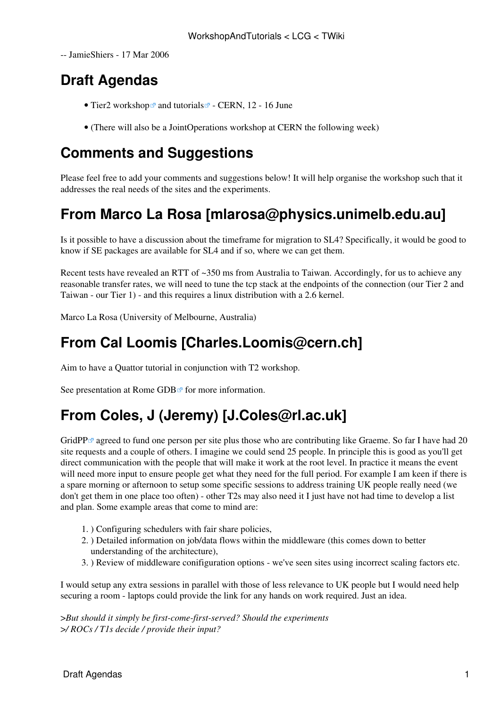-- [JamieShiers](https://twiki.cern.ch/twiki/bin/view/Main/JamieShiers) - 17 Mar 2006

# **Draft Agendas**

- [Tier2 workshop](http://indico.cern.ch/conferenceDisplay.py?confId=1148&view=egee_meeting&showDate=all&showSession=all&detailLevel=contribution) and [tutorials](http://indico.cern.ch/conferenceDisplay.py?confId=a058483)  $\Phi$  CERN, 12 16 June
- (There will also be a [JointOperations](https://twiki.cern.ch/twiki/bin/view/LCG/JointOperations) workshop at CERN the following week)

### **Comments and Suggestions**

Please feel free to add your comments and suggestions below! It will help organise the workshop such that it addresses the real needs of the sites and the experiments.

# **From Marco La Rosa [mlarosa@physics.unimelb.edu.au]**

Is it possible to have a discussion about the timeframe for migration to SL4? Specifically, it would be good to know if SE packages are available for SL4 and if so, where we can get them.

Recent tests have revealed an RTT of ~350 ms from Australia to Taiwan. Accordingly, for us to achieve any reasonable transfer rates, we will need to tune the tcp stack at the endpoints of the connection (our Tier 2 and Taiwan - our Tier 1) - and this requires a linux distribution with a 2.6 kernel.

Marco La Rosa (University of Melbourne, Australia)

## **From Cal Loomis [Charles.Loomis@cern.ch]**

Aim to have a Quattor tutorial in conjunction with T2 workshop.

See presentation at Rome GDB $\infty$  for more information.

# **From Coles, J (Jeremy) [J.Coles@rl.ac.uk]**

GridPP $\mathbb{F}$  agreed to fund one person per site plus those who are contributing like Graeme. So far I have had 20 site requests and a couple of others. I imagine we could send 25 people. In principle this is good as you'll get direct communication with the people that will make it work at the root level. In practice it means the event will need more input to ensure people get what they need for the full period. For example I am keen if there is a spare morning or afternoon to setup some specific sessions to address training UK people really need (we don't get them in one place too often) - other T2s may also need it I just have not had time to develop a list and plan. Some example areas that come to mind are:

- 1. ) Configuring schedulers with fair share policies,
- ) Detailed information on job/data flows within the middleware (this comes down to better 2. understanding of the architecture),
- 3. ) Review of middleware conifiguration options we've seen sites using incorrect scaling factors etc.

I would setup any extra sessions in parallel with those of less relevance to UK people but I would need help securing a room - laptops could provide the link for any hands on work required. Just an idea.

>*But should it simply be first-come-first-served? Should the experiments* >*/ ROCs / T1s decide / provide their input?*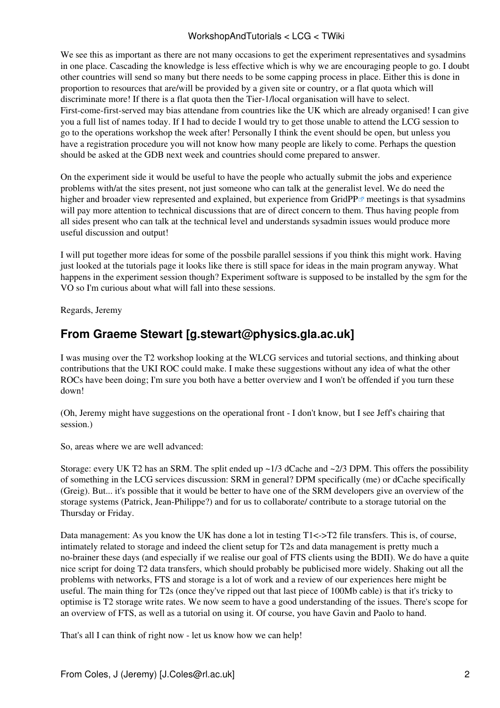#### WorkshopAndTutorials < LCG < TWiki

We see this as important as there are not many occasions to get the experiment representatives and sysadmins in one place. Cascading the knowledge is less effective which is why we are encouraging people to go. I doubt other countries will send so many but there needs to be some capping process in place. Either this is done in proportion to resources that are/will be provided by a given site or country, or a flat quota which will discriminate more! If there is a flat quota then the Tier-1/local organisation will have to select. First-come-first-served may bias attendane from countries like the UK which are already organised! I can give you a full list of names today. If I had to decide I would try to get those unable to attend the LCG session to go to the operations workshop the week after! Personally I think the event should be open, but unless you have a registration procedure you will not know how many people are likely to come. Perhaps the question should be asked at the GDB next week and countries should come prepared to answer.

On the experiment side it would be useful to have the people who actually submit the jobs and experience problems with/at the sites present, not just someone who can talk at the generalist level. We do need the higher and broader view represented and explained, but experience from [GridPP](http://www.gridpp.ac.uk) $\sigma$  meetings is that sysadmins will pay more attention to technical discussions that are of direct concern to them. Thus having people from all sides present who can talk at the technical level and understands sysadmin issues would produce more useful discussion and output!

I will put together more ideas for some of the possbile parallel sessions if you think this might work. Having just looked at the tutorials page it looks like there is still space for ideas in the main program anyway. What happens in the experiment session though? Experiment software is supposed to be installed by the sgm for the VO so I'm curious about what will fall into these sessions.

Regards, Jeremy

#### **From Graeme Stewart [g.stewart@physics.gla.ac.uk]**

I was musing over the T2 workshop looking at the WLCG services and tutorial sections, and thinking about contributions that the UKI ROC could make. I make these suggestions without any idea of what the other ROCs have been doing; I'm sure you both have a better overview and I won't be offended if you turn these down!

(Oh, Jeremy might have suggestions on the operational front - I don't know, but I see Jeff's chairing that session.)

So, areas where we are well advanced:

Storage: every UK T2 has an SRM. The split ended up ~1/3 dCache and ~2/3 DPM. This offers the possibility of something in the LCG services discussion: SRM in general? DPM specifically (me) or dCache specifically (Greig). But... it's possible that it would be better to have one of the SRM developers give an overview of the storage systems (Patrick, Jean-Philippe?) and for us to collaborate/ contribute to a storage tutorial on the Thursday or Friday.

Data management: As you know the UK has done a lot in testing T1<->T2 file transfers. This is, of course, intimately related to storage and indeed the client setup for T2s and data management is pretty much a no-brainer these days (and especially if we realise our goal of FTS clients using the [BDII\)](https://twiki.cern.ch/twiki/bin/view/EGEE/BDII). We do have a quite nice script for doing T2 data transfers, which should probably be publicised more widely. Shaking out all the problems with networks, FTS and storage is a lot of work and a review of our experiences here might be useful. The main thing for T2s (once they've ripped out that last piece of 100Mb cable) is that it's tricky to optimise is T2 storage write rates. We now seem to have a good understanding of the issues. There's scope for an overview of FTS, as well as a tutorial on using it. Of course, you have Gavin and Paolo to hand.

That's all I can think of right now - let us know how we can help!